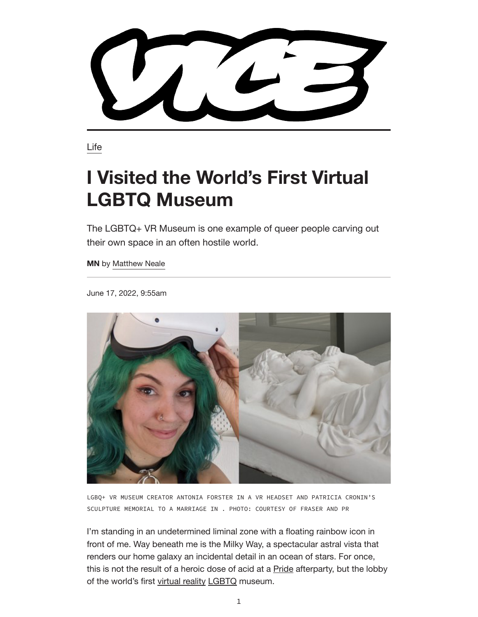Life

## **I Visited the World's First Virtual LGBTQ Museum**

The LGBTQ+ VR Museum is one example of queer people carving out their own space in an often hostile world.

**MN** by Matthew Neale

June 17, 2022, 9:55am



LGBQ+ VR MUSEUM CREATOR ANTONIA FORSTER IN A VR HEADSET AND PATRICIA CRONIN'S SCULPTURE MEMORIAL TO A MARRIAGE IN . PHOTO: COURTESY OF FRASER AND PR

I'm standing in an undetermined liminal zone with a floating rainbow icon in front of me. Way beneath me is the Milky Way, a spectacular astral vista that renders our home galaxy an incidental detail in an ocean of stars. For once, this is not the result of a heroic dose of acid at a **Pride** afterparty, but the lobby of the world's first virtual reality LGBTQ museum.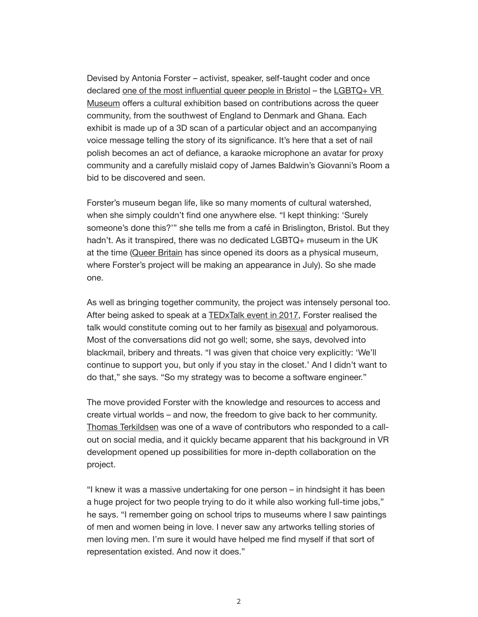Devised by Antonia Forster – activist, speaker, self-taught coder and once declared one of the most influential queer people in Bristol – the LGBTQ+ VR Museum offers a cultural exhibition based on contributions across the queer community, from the southwest of England to Denmark and Ghana. Each exhibit is made up of a 3D scan of a particular object and an accompanying voice message telling the story of its significance. It's here that a set of nail polish becomes an act of defiance, a karaoke microphone an avatar for proxy community and a carefully mislaid copy of James Baldwin's Giovanni's Room a bid to be discovered and seen.

Forster's museum began life, like so many moments of cultural watershed, when she simply couldn't find one anywhere else. "I kept thinking: 'Surely someone's done this?'" she tells me from a café in Brislington, Bristol. But they hadn't. As it transpired, there was no dedicated LGBTQ+ museum in the UK at the time (Queer Britain has since opened its doors as a physical museum, where Forster's project will be making an appearance in July). So she made one.

As well as bringing together community, the project was intensely personal too. After being asked to speak at a TEDxTalk event in 2017, Forster realised the talk would constitute coming out to her family as bisexual and polyamorous. Most of the conversations did not go well; some, she says, devolved into blackmail, bribery and threats. "I was given that choice very explicitly: 'We'll continue to support you, but only if you stay in the closet.' And I didn't want to do that," she says. "So my strategy was to become a software engineer."

The move provided Forster with the knowledge and resources to access and create virtual worlds – and now, the freedom to give back to her community. Thomas Terkildsen was one of a wave of contributors who responded to a callout on social media, and it quickly became apparent that his background in VR development opened up possibilities for more in-depth collaboration on the project.

"I knew it was a massive undertaking for one person – in hindsight it has been a huge project for two people trying to do it while also working full-time jobs," he says. "I remember going on school trips to museums where I saw paintings of men and women being in love. I never saw any artworks telling stories of men loving men. I'm sure it would have helped me find myself if that sort of representation existed. And now it does."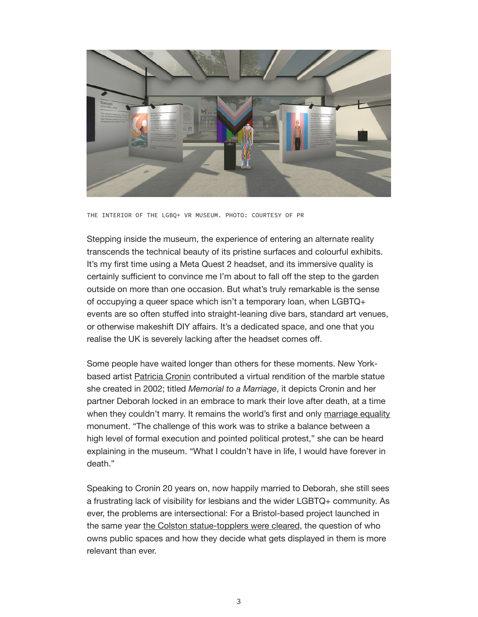

THE INTERIOR OF THE LGBQ+ VR MUSEUM. PHOTO: COURTESY OF PR

Stepping inside the museum, the experience of entering an alternate reality transcends the technical beauty of its pristine surfaces and colourful exhibits. It's my first time using a Meta Quest 2 headset, and its immersive quality is certainly sufficient to convince me I'm about to fall off the step to the garden outside on more than one occasion. But what's truly remarkable is the sense of occupying a queer space which isn't a temporary loan, when LGBTQ+ events are so often stuffed into straight-leaning dive bars, standard art venues, or otherwise makeshift DIY affairs. It's a dedicated space, and one that you realise the UK is severely lacking after the headset comes off.

Some people have waited longer than others for these moments. New Yorkbased artist Patricia Cronin contributed a virtual rendition of the marble statue she created in 2002; titled *Memorial to a Marriage*, it depicts Cronin and her partner Deborah locked in an embrace to mark their love after death, at a time when they couldn't marry. It remains the world's first and only marriage equality monument. "The challenge of this work was to strike a balance between a high level of formal execution and pointed political protest," she can be heard explaining in the museum. "What I couldn't have in life, I would have forever in death."

Speaking to Cronin 20 years on, now happily married to Deborah, she still sees a frustrating lack of visibility for lesbians and the wider LGBTQ+ community. As ever, the problems are intersectional: For a Bristol-based project launched in the same year the Colston statue-topplers were cleared, the question of who owns public spaces and how they decide what gets displayed in them is more relevant than ever.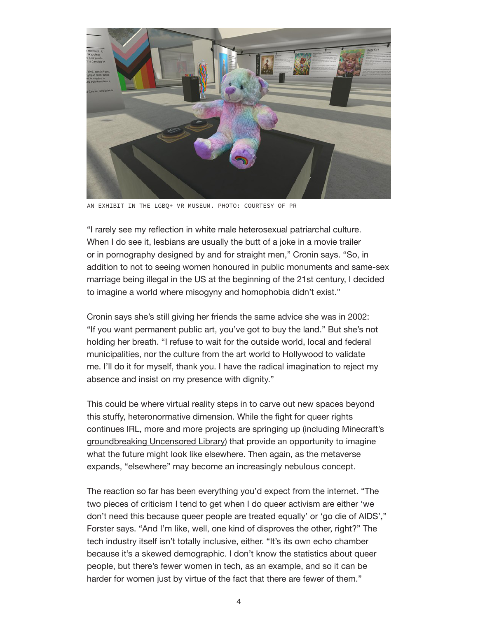

AN EXHIBIT IN THE LGBQ+ VR MUSEUM. PHOTO: COURTESY OF PR

"I rarely see my reflection in white male heterosexual patriarchal culture. When I do see it, lesbians are usually the butt of a joke in a movie trailer or in pornography designed by and for straight men," Cronin says. "So, in addition to not to seeing women honoured in public monuments and same-sex marriage being illegal in the US at the beginning of the 21st century, I decided to imagine a world where misogyny and homophobia didn't exist."

Cronin says she's still giving her friends the same advice she was in 2002: "If you want permanent public art, you've got to buy the land." But she's not holding her breath. "I refuse to wait for the outside world, local and federal municipalities, nor the culture from the art world to Hollywood to validate me. I'll do it for myself, thank you. I have the radical imagination to reject my absence and insist on my presence with dignity."

This could be where virtual reality steps in to carve out new spaces beyond this stuffy, heteronormative dimension. While the fight for queer rights continues IRL, more and more projects are springing up (including Minecraft's groundbreaking Uncensored Library) that provide an opportunity to imagine what the future might look like elsewhere. Then again, as the metaverse expands, "elsewhere" may become an increasingly nebulous concept.

The reaction so far has been everything you'd expect from the internet. "The two pieces of criticism I tend to get when I do queer activism are either 'we don't need this because queer people are treated equally' or 'go die of AIDS'," Forster says. "And I'm like, well, one kind of disproves the other, right?" The tech industry itself isn't totally inclusive, either. "It's its own echo chamber because it's a skewed demographic. I don't know the statistics about queer people, but there's fewer women in tech, as an example, and so it can be harder for women just by virtue of the fact that there are fewer of them."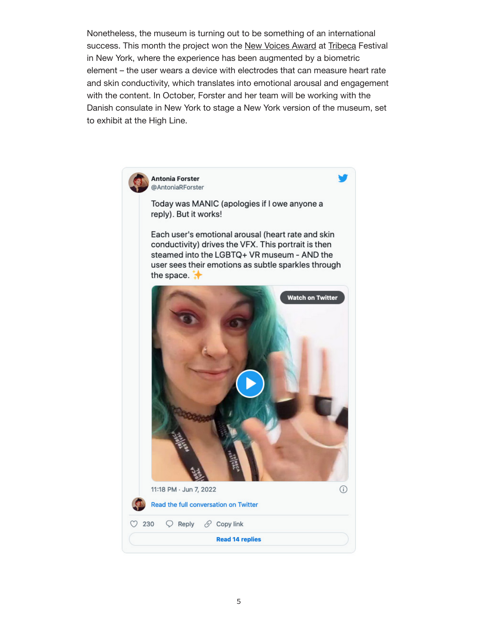Nonetheless, the museum is turning out to be something of an international success. This month the project won the New Voices Award at Tribeca Festival in New York, where the experience has been augmented by a biometric element – the user wears a device with electrodes that can measure heart rate and skin conductivity, which translates into emotional arousal and engagement with the content. In October, Forster and her team will be working with the Danish consulate in New York to stage a New York version of the museum, set to exhibit at the High Line.